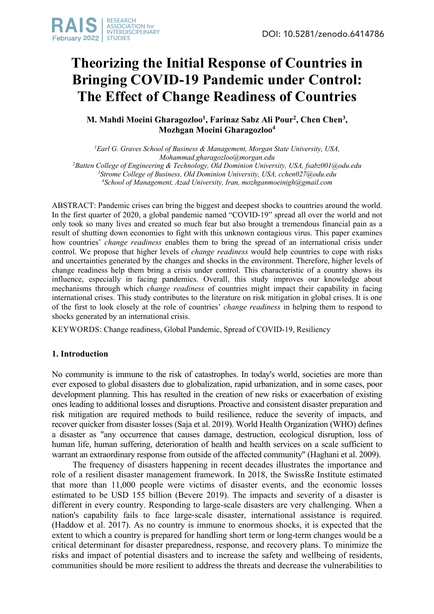

# **Theorizing the Initial Response of Countries in Bringing COVID-19 Pandemic under Control: The Effect of Change Readiness of Countries**

# **M. Mahdi Moeini Gharagozloo1 , Farinaz Sabz Ali Pour2 , Chen Chen3 , Mozhgan Moeini Gharagozloo4**

*1 Earl G. Graves School of Business & Management, Morgan State University, USA, Mohammad.gharagozloo@morgan.edu 2 Batten College of Engineering & Technology, Old Dominion University, USA, fsabz001@odu.edu 3 Strome College of Business, Old Dominion University, USA, cchen027@odu.edu 4 School of Management, Azad University, Iran, mozhganmoeinigh@gmail.com*

ABSTRACT: Pandemic crises can bring the biggest and deepest shocks to countries around the world. In the first quarter of 2020, a global pandemic named "COVID-19" spread all over the world and not only took so many lives and created so much fear but also brought a tremendous financial pain as a result of shutting down economies to fight with this unknown contagious virus. This paper examines how countries' *change readiness* enables them to bring the spread of an international crisis under control. We propose that higher levels of *change readiness* would help countries to cope with risks and uncertainties generated by the changes and shocks in the environment. Therefore, higher levels of change readiness help them bring a crisis under control. This characteristic of a country shows its influence, especially in facing pandemics. Overall, this study improves our knowledge about mechanisms through which *change readiness* of countries might impact their capability in facing international crises. This study contributes to the literature on risk mitigation in global crises. It is one of the first to look closely at the role of countries' *change readiness* in helping them to respond to shocks generated by an international crisis.

KEYWORDS: Change readiness, Global Pandemic, Spread of COVID-19, Resiliency

# **1. Introduction**

No community is immune to the risk of catastrophes. In today's world, societies are more than ever exposed to global disasters due to globalization, rapid urbanization, and in some cases, poor development planning. This has resulted in the creation of new risks or exacerbation of existing ones leading to additional losses and disruptions. Proactive and consistent disaster preparation and risk mitigation are required methods to build resilience, reduce the severity of impacts, and recover quicker from disaster losses (Saja et al. 2019). World Health Organization (WHO) defines a disaster as "any occurrence that causes damage, destruction, ecological disruption, loss of human life, human suffering, deterioration of health and health services on a scale sufficient to warrant an extraordinary response from outside of the affected community" (Haghani et al. 2009).

The frequency of disasters happening in recent decades illustrates the importance and role of a resilient disaster management framework. In 2018, the SwissRe Institute estimated that more than 11,000 people were victims of disaster events, and the economic losses estimated to be USD 155 billion (Bevere 2019). The impacts and severity of a disaster is different in every country. Responding to large-scale disasters are very challenging. When a nation's capability fails to face large-scale disaster, international assistance is required. (Haddow et al. 2017). As no country is immune to enormous shocks, it is expected that the extent to which a country is prepared for handling short term or long-term changes would be a critical determinant for disaster preparedness, response, and recovery plans. To minimize the risks and impact of potential disasters and to increase the safety and wellbeing of residents, communities should be more resilient to address the threats and decrease the vulnerabilities to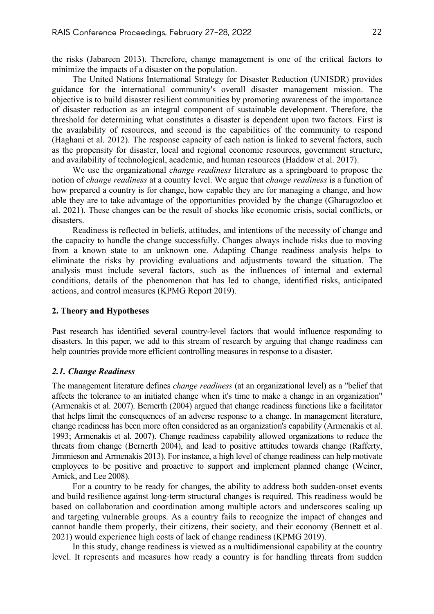the risks (Jabareen 2013). Therefore, change management is one of the critical factors to minimize the impacts of a disaster on the population.

The United Nations International Strategy for Disaster Reduction (UNISDR) provides guidance for the international community's overall disaster management mission. The objective is to build disaster resilient communities by promoting awareness of the importance of disaster reduction as an integral component of sustainable development. Therefore, the threshold for determining what constitutes a disaster is dependent upon two factors. First is the availability of resources, and second is the capabilities of the community to respond (Haghani et al. 2012). The response capacity of each nation is linked to several factors, such as the propensity for disaster, local and regional economic resources, government structure, and availability of technological, academic, and human resources (Haddow et al. 2017).

We use the organizational *change readiness* literature as a springboard to propose the notion of *change readiness* at a country level. We argue that *change readiness* is a function of how prepared a country is for change, how capable they are for managing a change, and how able they are to take advantage of the opportunities provided by the change (Gharagozloo et al. 2021). These changes can be the result of shocks like economic crisis, social conflicts, or disasters.

Readiness is reflected in beliefs, attitudes, and intentions of the necessity of change and the capacity to handle the change successfully. Changes always include risks due to moving from a known state to an unknown one. Adapting Change readiness analysis helps to eliminate the risks by providing evaluations and adjustments toward the situation. The analysis must include several factors, such as the influences of internal and external conditions, details of the phenomenon that has led to change, identified risks, anticipated actions, and control measures (KPMG Report 2019).

## **2. Theory and Hypotheses**

Past research has identified several country-level factors that would influence responding to disasters. In this paper, we add to this stream of research by arguing that change readiness can help countries provide more efficient controlling measures in response to a disaster.

## *2.1. Change Readiness*

The management literature defines *change readiness* (at an organizational level) as a "belief that affects the tolerance to an initiated change when it's time to make a change in an organization" (Armenakis et al. 2007). Bernerth (2004) argued that change readiness functions like a facilitator that helps limit the consequences of an adverse response to a change. In management literature, change readiness has been more often considered as an organization's capability (Armenakis et al. 1993; Armenakis et al. 2007). Change readiness capability allowed organizations to reduce the threats from change (Bernerth 2004), and lead to positive attitudes towards change (Rafferty, Jimmieson and Armenakis 2013). For instance, a high level of change readiness can help motivate employees to be positive and proactive to support and implement planned change (Weiner, Amick, and Lee 2008).

For a country to be ready for changes, the ability to address both sudden-onset events and build resilience against long-term structural changes is required. This readiness would be based on collaboration and coordination among multiple actors and underscores scaling up and targeting vulnerable groups. As a country fails to recognize the impact of changes and cannot handle them properly, their citizens, their society, and their economy (Bennett et al. 2021) would experience high costs of lack of change readiness (KPMG 2019).

In this study, change readiness is viewed as a multidimensional capability at the country level. It represents and measures how ready a country is for handling threats from sudden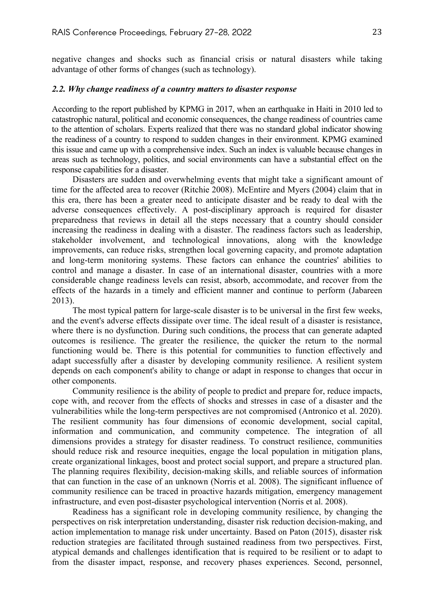negative changes and shocks such as financial crisis or natural disasters while taking advantage of other forms of changes (such as technology).

#### *2.2. Why change readiness of a country matters to disaster response*

According to the report published by KPMG in 2017, when an earthquake in Haiti in 2010 led to catastrophic natural, political and economic consequences, the change readiness of countries came to the attention of scholars. Experts realized that there was no standard global indicator showing the readiness of a country to respond to sudden changes in their environment. KPMG examined this issue and came up with a comprehensive index. Such an index is valuable because changes in areas such as technology, politics, and social environments can have a substantial effect on the response capabilities for a disaster.

Disasters are sudden and overwhelming events that might take a significant amount of time for the affected area to recover (Ritchie 2008). McEntire and Myers (2004) claim that in this era, there has been a greater need to anticipate disaster and be ready to deal with the adverse consequences effectively. A post-disciplinary approach is required for disaster preparedness that reviews in detail all the steps necessary that a country should consider increasing the readiness in dealing with a disaster. The readiness factors such as leadership, stakeholder involvement, and technological innovations, along with the knowledge improvements, can reduce risks, strengthen local governing capacity, and promote adaptation and long-term monitoring systems. These factors can enhance the countries' abilities to control and manage a disaster. In case of an international disaster, countries with a more considerable change readiness levels can resist, absorb, accommodate, and recover from the effects of the hazards in a timely and efficient manner and continue to perform (Jabareen 2013).

The most typical pattern for large-scale disaster is to be universal in the first few weeks, and the event's adverse effects dissipate over time. The ideal result of a disaster is resistance, where there is no dysfunction. During such conditions, the process that can generate adapted outcomes is resilience. The greater the resilience, the quicker the return to the normal functioning would be. There is this potential for communities to function effectively and adapt successfully after a disaster by developing community resilience. A resilient system depends on each component's ability to change or adapt in response to changes that occur in other components.

Community resilience is the ability of people to predict and prepare for, reduce impacts, cope with, and recover from the effects of shocks and stresses in case of a disaster and the vulnerabilities while the long-term perspectives are not compromised (Antronico et al. 2020). The resilient community has four dimensions of economic development, social capital, information and communication, and community competence. The integration of all dimensions provides a strategy for disaster readiness. To construct resilience, communities should reduce risk and resource inequities, engage the local population in mitigation plans, create organizational linkages, boost and protect social support, and prepare a structured plan. The planning requires flexibility, decision-making skills, and reliable sources of information that can function in the case of an unknown (Norris et al. 2008). The significant influence of community resilience can be traced in proactive hazards mitigation, emergency management infrastructure, and even post-disaster psychological intervention (Norris et al. 2008).

Readiness has a significant role in developing community resilience, by changing the perspectives on risk interpretation understanding, disaster risk reduction decision-making, and action implementation to manage risk under uncertainty. Based on Paton (2015), disaster risk reduction strategies are facilitated through sustained readiness from two perspectives. First, atypical demands and challenges identification that is required to be resilient or to adapt to from the disaster impact, response, and recovery phases experiences. Second, personnel,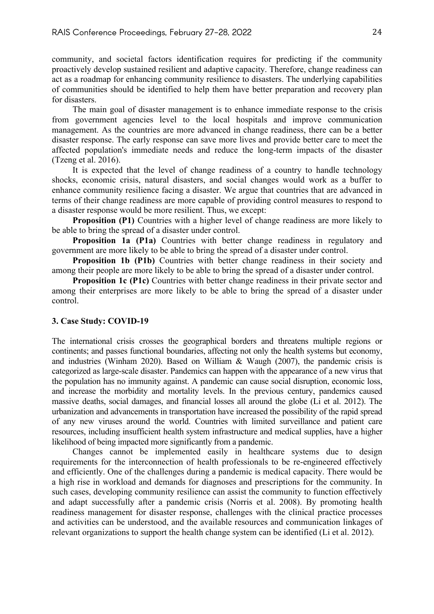community, and societal factors identification requires for predicting if the community proactively develop sustained resilient and adaptive capacity. Therefore, change readiness can act as a roadmap for enhancing community resilience to disasters. The underlying capabilities of communities should be identified to help them have better preparation and recovery plan for disasters.

The main goal of disaster management is to enhance immediate response to the crisis from government agencies level to the local hospitals and improve communication management. As the countries are more advanced in change readiness, there can be a better disaster response. The early response can save more lives and provide better care to meet the affected population's immediate needs and reduce the long-term impacts of the disaster (Tzeng et al. 2016).

It is expected that the level of change readiness of a country to handle technology shocks, economic crisis, natural disasters, and social changes would work as a buffer to enhance community resilience facing a disaster. We argue that countries that are advanced in terms of their change readiness are more capable of providing control measures to respond to a disaster response would be more resilient. Thus, we except:

**Proposition (P1)** Countries with a higher level of change readiness are more likely to be able to bring the spread of a disaster under control.

**Proposition 1a (P1a)** Countries with better change readiness in regulatory and government are more likely to be able to bring the spread of a disaster under control.

**Proposition 1b (P1b)** Countries with better change readiness in their society and among their people are more likely to be able to bring the spread of a disaster under control.

**Proposition 1c (P1c)** Countries with better change readiness in their private sector and among their enterprises are more likely to be able to bring the spread of a disaster under control.

## **3. Case Study: COVID-19**

The international crisis crosses the geographical borders and threatens multiple regions or continents; and passes functional boundaries, affecting not only the health systems but economy, and industries (Winham 2020). Based on William & Waugh (2007), the pandemic crisis is categorized as large-scale disaster. Pandemics can happen with the appearance of a new virus that the population has no immunity against. A pandemic can cause social disruption, economic loss, and increase the morbidity and mortality levels. In the previous century, pandemics caused massive deaths, social damages, and financial losses all around the globe (Li et al. 2012). The urbanization and advancements in transportation have increased the possibility of the rapid spread of any new viruses around the world. Countries with limited surveillance and patient care resources, including insufficient health system infrastructure and medical supplies, have a higher likelihood of being impacted more significantly from a pandemic.

Changes cannot be implemented easily in healthcare systems due to design requirements for the interconnection of health professionals to be re-engineered effectively and efficiently. One of the challenges during a pandemic is medical capacity. There would be a high rise in workload and demands for diagnoses and prescriptions for the community. In such cases, developing community resilience can assist the community to function effectively and adapt successfully after a pandemic crisis (Norris et al. 2008). By promoting health readiness management for disaster response, challenges with the clinical practice processes and activities can be understood, and the available resources and communication linkages of relevant organizations to support the health change system can be identified (Li et al. 2012).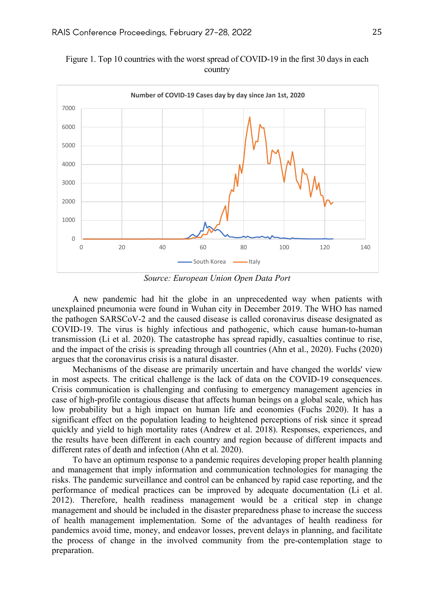

Figure 1. Top 10 countries with the worst spread of COVID-19 in the first 30 days in each country

*Source: European Union Open Data Port*

A new pandemic had hit the globe in an unprecedented way when patients with unexplained pneumonia were found in Wuhan city in December 2019. The WHO has named the pathogen SARSCoV-2 and the caused disease is called coronavirus disease designated as COVID-19. The virus is highly infectious and pathogenic, which cause human-to-human transmission (Li et al. 2020). The catastrophe has spread rapidly, casualties continue to rise, and the impact of the crisis is spreading through all countries (Ahn et al., 2020). Fuchs (2020) argues that the coronavirus crisis is a natural disaster.

Mechanisms of the disease are primarily uncertain and have changed the worlds' view in most aspects. The critical challenge is the lack of data on the COVID-19 consequences. Crisis communication is challenging and confusing to emergency management agencies in case of high-profile contagious disease that affects human beings on a global scale, which has low probability but a high impact on human life and economies (Fuchs 2020). It has a significant effect on the population leading to heightened perceptions of risk since it spread quickly and yield to high mortality rates (Andrew et al. 2018). Responses, experiences, and the results have been different in each country and region because of different impacts and different rates of death and infection (Ahn et al. 2020).

To have an optimum response to a pandemic requires developing proper health planning and management that imply information and communication technologies for managing the risks. The pandemic surveillance and control can be enhanced by rapid case reporting, and the performance of medical practices can be improved by adequate documentation (Li et al. 2012). Therefore, health readiness management would be a critical step in change management and should be included in the disaster preparedness phase to increase the success of health management implementation. Some of the advantages of health readiness for pandemics avoid time, money, and endeavor losses, prevent delays in planning, and facilitate the process of change in the involved community from the pre-contemplation stage to preparation.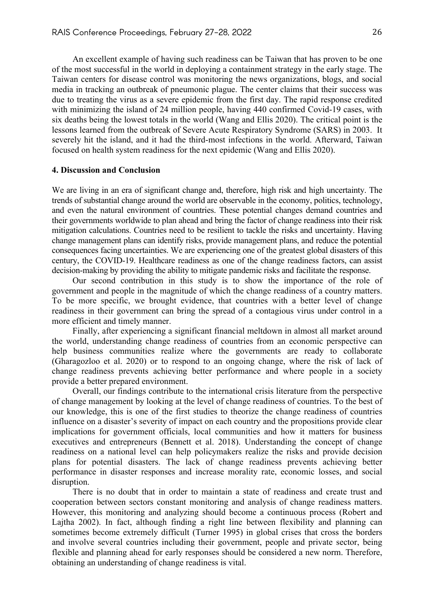An excellent example of having such readiness can be Taiwan that has proven to be one of the most successful in the world in deploying a containment strategy in the early stage. The Taiwan centers for disease control was monitoring the news organizations, blogs, and social media in tracking an outbreak of pneumonic plague. The center claims that their success was due to treating the virus as a severe epidemic from the first day. The rapid response credited with minimizing the island of 24 million people, having 440 confirmed Covid-19 cases, with six deaths being the lowest totals in the world (Wang and Ellis 2020). The critical point is the lessons learned from the outbreak of Severe Acute Respiratory Syndrome (SARS) in 2003. It severely hit the island, and it had the third-most infections in the world. Afterward, Taiwan focused on health system readiness for the next epidemic (Wang and Ellis 2020).

#### **4. Discussion and Conclusion**

We are living in an era of significant change and, therefore, high risk and high uncertainty. The trends of substantial change around the world are observable in the economy, politics, technology, and even the natural environment of countries. These potential changes demand countries and their governments worldwide to plan ahead and bring the factor of change readiness into their risk mitigation calculations. Countries need to be resilient to tackle the risks and uncertainty. Having change management plans can identify risks, provide management plans, and reduce the potential consequences facing uncertainties. We are experiencing one of the greatest global disasters of this century, the COVID-19. Healthcare readiness as one of the change readiness factors, can assist decision-making by providing the ability to mitigate pandemic risks and facilitate the response.

Our second contribution in this study is to show the importance of the role of government and people in the magnitude of which the change readiness of a country matters. To be more specific, we brought evidence, that countries with a better level of change readiness in their government can bring the spread of a contagious virus under control in a more efficient and timely manner.

Finally, after experiencing a significant financial meltdown in almost all market around the world, understanding change readiness of countries from an economic perspective can help business communities realize where the governments are ready to collaborate (Gharagozloo et al. 2020) or to respond to an ongoing change, where the risk of lack of change readiness prevents achieving better performance and where people in a society provide a better prepared environment.

Overall, our findings contribute to the international crisis literature from the perspective of change management by looking at the level of change readiness of countries. To the best of our knowledge, this is one of the first studies to theorize the change readiness of countries influence on a disaster's severity of impact on each country and the propositions provide clear implications for government officials, local communities and how it matters for business executives and entrepreneurs (Bennett et al. 2018). Understanding the concept of change readiness on a national level can help policymakers realize the risks and provide decision plans for potential disasters. The lack of change readiness prevents achieving better performance in disaster responses and increase morality rate, economic losses, and social disruption.

There is no doubt that in order to maintain a state of readiness and create trust and cooperation between sectors constant monitoring and analysis of change readiness matters. However, this monitoring and analyzing should become a continuous process (Robert and Lajtha 2002). In fact, although finding a right line between flexibility and planning can sometimes become extremely difficult (Turner 1995) in global crises that cross the borders and involve several countries including their government, people and private sector, being flexible and planning ahead for early responses should be considered a new norm. Therefore, obtaining an understanding of change readiness is vital.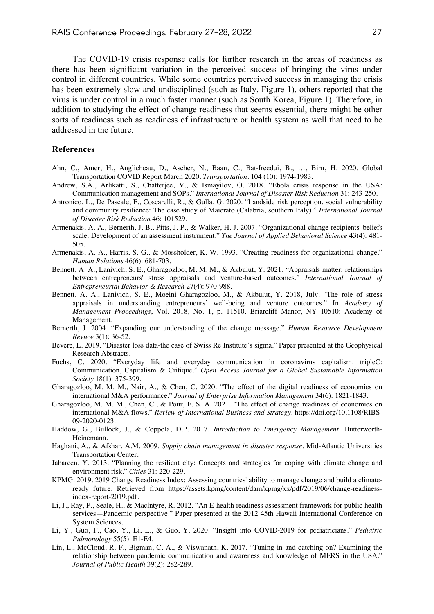The COVID-19 crisis response calls for further research in the areas of readiness as there has been significant variation in the perceived success of bringing the virus under control in different countries. While some countries perceived success in managing the crisis has been extremely slow and undisciplined (such as Italy, Figure 1), others reported that the virus is under control in a much faster manner (such as South Korea, Figure 1). Therefore, in addition to studying the effect of change readiness that seems essential, there might be other sorts of readiness such as readiness of infrastructure or health system as well that need to be addressed in the future.

#### **References**

- Ahn, C., Amer, H., Anglicheau, D., Ascher, N., Baan, C., Bat-Ireedui, B., …, Birn, H. 2020. Global Transportation COVID Report March 2020. *Transportation*. 104 (10): 1974-1983.
- Andrew, S.A., Arlikatti, S., Chatterjee, V., & Ismayilov, O. 2018. "Ebola crisis response in the USA: Communication management and SOPs." *International Journal of Disaster Risk Reduction* 31: 243-250.
- Antronico, L., De Pascale, F., Coscarelli, R., & Gulla, G. 2020. "Landside risk perception, social vulnerability and community resilience: The case study of Maierato (Calabria, southern Italy)." *International Journal of Disaster Risk Reduction* 46: 101529.
- Armenakis, A. A., Bernerth, J. B., Pitts, J. P., & Walker, H. J. 2007. "Organizational change recipients' beliefs scale: Development of an assessment instrument." *The Journal of Applied Behavioral Science* 43(4): 481- 505.
- Armenakis, A. A., Harris, S. G., & Mossholder, K. W. 1993. "Creating readiness for organizational change." *Human Relations* 46(6): 681-703.
- Bennett, A. A., Lanivich, S. E., Gharagozloo, M. M. M., & Akbulut, Y. 2021. "Appraisals matter: relationships between entrepreneurs' stress appraisals and venture-based outcomes." *International Journal of Entrepreneurial Behavior & Research* 27(4): 970-988.
- Bennett, A. A., Lanivich, S. E., Moeini Gharagozloo, M., & Akbulut, Y. 2018, July. "The role of stress appraisals in understanding entrepreneurs' well-being and venture outcomes." In *Academy of Management Proceedings*, Vol. 2018, No. 1, p. 11510. Briarcliff Manor, NY 10510: Academy of Management.
- Bernerth, J. 2004. "Expanding our understanding of the change message." *Human Resource Development Review* 3(1): 36-52.
- Bevere, L. 2019. "Disaster loss data-the case of Swiss Re Institute's sigma." Paper presented at the Geophysical Research Abstracts.
- Fuchs, C. 2020. "Everyday life and everyday communication in coronavirus capitalism. tripleC: Communication, Capitalism & Critique." *Open Access Journal for a Global Sustainable Information Society* 18(1): 375-399.
- Gharagozloo, M. M. M., Nair, A., & Chen, C. 2020. "The effect of the digital readiness of economies on international M&A performance." *Journal of Enterprise Information Management* 34(6): 1821-1843.
- Gharagozloo, M. M. M., Chen, C., & Pour, F. S. A. 2021. "The effect of change readiness of economies on international M&A flows." *Review of International Business and Strategy*. https://doi.org/10.1108/RIBS-09-2020-0123.
- Haddow, G., Bullock, J., & Coppola, D.P. 2017. *Introduction to Emergency Management*. Butterworth-Heinemann.
- Haghani, A., & Afshar, A.M. 2009. *Supply chain management in disaster response*. Mid-Atlantic Universities Transportation Center.
- Jabareen, Y. 2013. "Planning the resilient city: Concepts and strategies for coping with climate change and environment risk." *Cities* 31: 220-229.
- KPMG. 2019. 2019 Change Readiness Index: Assessing countries' ability to manage change and build a climateready future. Retrieved from https://assets.kpmg/content/dam/kpmg/xx/pdf/2019/06/change-readinessindex-report-2019.pdf.
- Li, J., Ray, P., Seale, H., & Maclntyre, R. 2012. "An E-health readiness assessment framework for public health services—Pandemic perspective." Paper presented at the 2012 45th Hawaii International Conference on System Sciences.
- Li, Y., Guo, F., Cao, Y., Li, L., & Guo, Y. 2020. "Insight into COVID-2019 for pediatricians." *Pediatric Pulmonology* 55(5): E1-E4.
- Lin, L., McCloud, R. F., Bigman, C. A., & Viswanath, K. 2017. "Tuning in and catching on? Examining the relationship between pandemic communication and awareness and knowledge of MERS in the USA." *Journal of Public Health* 39(2): 282-289.